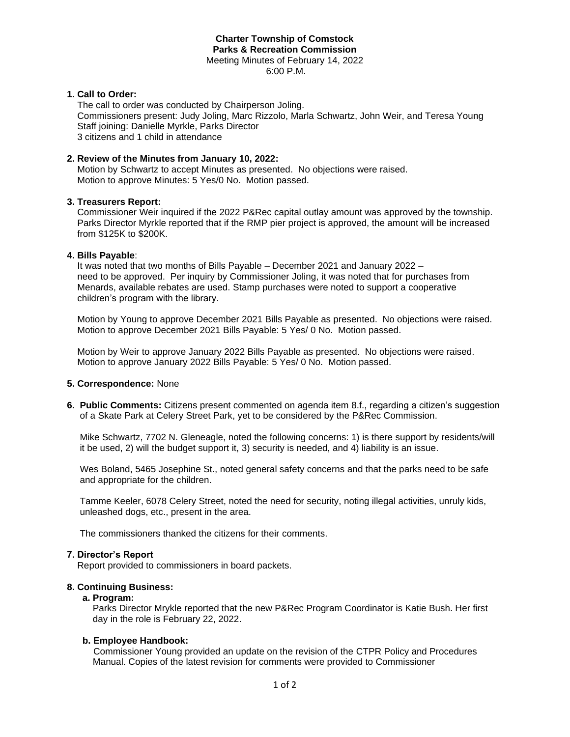# **Charter Township of Comstock Parks & Recreation Commission** Meeting Minutes of February 14, 2022

6:00 P.M.

# **1. Call to Order:**

The call to order was conducted by Chairperson Joling. Commissioners present: Judy Joling, Marc Rizzolo, Marla Schwartz, John Weir, and Teresa Young Staff joining: Danielle Myrkle, Parks Director 3 citizens and 1 child in attendance

# **2. Review of the Minutes from January 10, 2022:**

 Motion by Schwartz to accept Minutes as presented. No objections were raised. Motion to approve Minutes: 5 Yes/0 No. Motion passed.

# **3. Treasurers Report:**

Commissioner Weir inquired if the 2022 P&Rec capital outlay amount was approved by the township. Parks Director Myrkle reported that if the RMP pier project is approved, the amount will be increased from \$125K to \$200K.

# **4. Bills Payable**:

 It was noted that two months of Bills Payable – December 2021 and January 2022 – need to be approved. Per inquiry by Commissioner Joling, it was noted that for purchases from Menards, available rebates are used. Stamp purchases were noted to support a cooperative children's program with the library.

 Motion by Young to approve December 2021 Bills Payable as presented. No objections were raised. Motion to approve December 2021 Bills Payable: 5 Yes/ 0 No. Motion passed.

 Motion by Weir to approve January 2022 Bills Payable as presented. No objections were raised. Motion to approve January 2022 Bills Payable: 5 Yes/ 0 No. Motion passed.

# **5. Correspondence:** None

**6. Public Comments:** Citizens present commented on agenda item 8.f., regarding a citizen's suggestion of a Skate Park at Celery Street Park, yet to be considered by the P&Rec Commission.

 Mike Schwartz, 7702 N. Gleneagle, noted the following concerns: 1) is there support by residents/will it be used, 2) will the budget support it, 3) security is needed, and 4) liability is an issue.

 Wes Boland, 5465 Josephine St., noted general safety concerns and that the parks need to be safe and appropriate for the children.

 Tamme Keeler, 6078 Celery Street, noted the need for security, noting illegal activities, unruly kids, unleashed dogs, etc., present in the area.

The commissioners thanked the citizens for their comments.

# **7. Director's Report**

Report provided to commissioners in board packets.

# **8. Continuing Business:**

# **a. Program:**

Parks Director Mrykle reported that the new P&Rec Program Coordinator is Katie Bush. Her first day in the role is February 22, 2022.

# **b. Employee Handbook:**

 Commissioner Young provided an update on the revision of the CTPR Policy and Procedures Manual. Copies of the latest revision for comments were provided to Commissioner